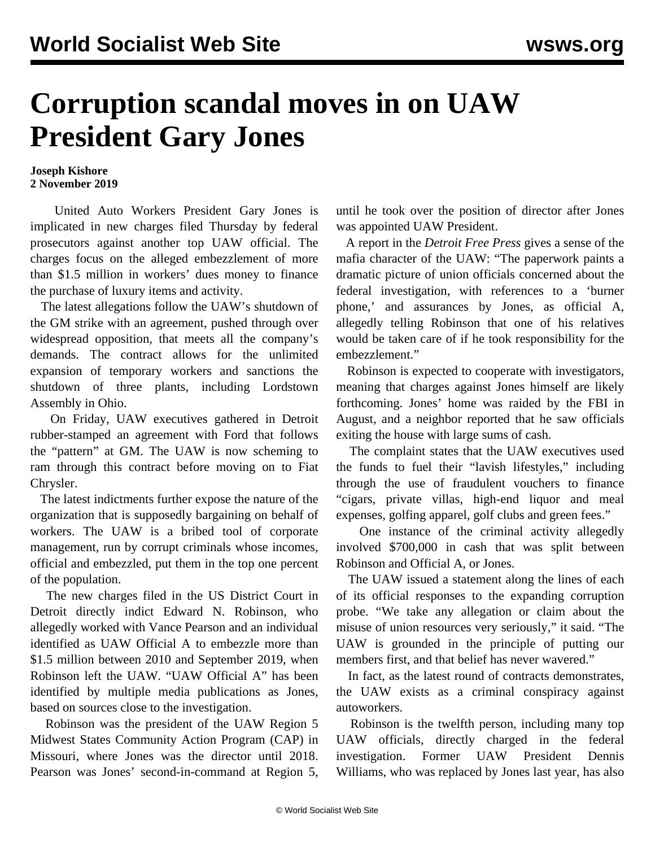## **Corruption scandal moves in on UAW President Gary Jones**

## **Joseph Kishore 2 November 2019**

 United Auto Workers President Gary Jones is implicated in new charges filed Thursday by federal prosecutors against another top UAW official. The charges focus on the alleged embezzlement of more than \$1.5 million in workers' dues money to finance the purchase of luxury items and activity.

 The latest allegations follow the UAW's shutdown of the GM strike with an agreement, pushed through over widespread opposition, that meets all the company's demands. The contract allows for the unlimited expansion of temporary workers and sanctions the shutdown of three plants, including Lordstown Assembly in Ohio.

 On Friday, UAW executives gathered in Detroit rubber-stamped an [agreement with Ford](/en/articles/2019/11/02/ford-n02.html) that follows the "pattern" at GM. The UAW is now scheming to ram through this contract before moving on to Fiat Chrysler.

 The latest indictments further expose the nature of the organization that is supposedly bargaining on behalf of workers. The UAW is a bribed tool of corporate management, run by corrupt criminals whose incomes, official and embezzled, put them in the top one percent of the population.

 The new charges filed in the US District Court in Detroit directly indict Edward N. Robinson, who allegedly worked with Vance Pearson and an individual identified as UAW Official A to embezzle more than \$1.5 million between 2010 and September 2019, when Robinson left the UAW. "UAW Official A" has been identified by multiple media publications as Jones, based on sources close to the investigation.

 Robinson was the president of the UAW Region 5 Midwest States Community Action Program (CAP) in Missouri, where Jones was the director until 2018. Pearson was Jones' second-in-command at Region 5, until he took over the position of director after Jones was appointed UAW President.

 A report in the *Detroit Free Press* gives a sense of the mafia character of the UAW: "The paperwork paints a dramatic picture of union officials concerned about the federal investigation, with references to a 'burner phone,' and assurances by Jones, as official A, allegedly telling Robinson that one of his relatives would be taken care of if he took responsibility for the embezzlement."

 Robinson is expected to cooperate with investigators, meaning that charges against Jones himself are likely forthcoming. Jones' home was raided by the FBI in August, and a neighbor reported that he saw officials exiting the house with large sums of cash.

 The complaint states that the UAW executives used the funds to fuel their "lavish lifestyles," including through the use of fraudulent vouchers to finance "cigars, private villas, high-end liquor and meal expenses, golfing apparel, golf clubs and green fees."

 One instance of the criminal activity allegedly involved \$700,000 in cash that was split between Robinson and Official A, or Jones.

 The UAW issued a statement along the lines of each of its official responses to the expanding corruption probe. "We take any allegation or claim about the misuse of union resources very seriously," it said. "The UAW is grounded in the principle of putting our members first, and that belief has never wavered."

 In fact, as the latest round of contracts demonstrates, the UAW exists as a criminal conspiracy against autoworkers.

 Robinson is the twelfth person, including many top UAW officials, directly charged in the federal investigation. Former UAW President Dennis Williams, who was replaced by Jones last year, has also